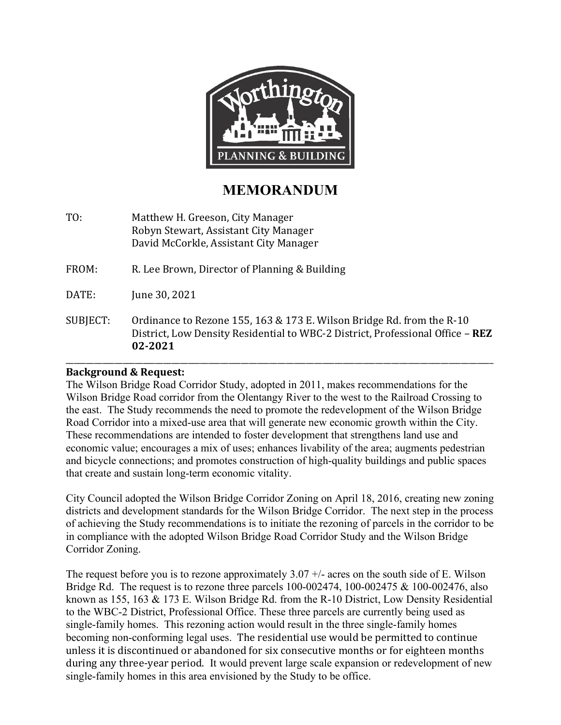

# **MEMORANDUM**

- TO: Matthew H. Greeson, City Manager Robyn Stewart, Assistant City Manager David McCorkle, Assistant City Manager
- FROM: R. Lee Brown, Director of Planning & Building
- DATE: June 30, 2021
- SUBJECT: Ordinance to Rezone 155, 163 & 173 E. Wilson Bridge Rd. from the R-10 District, Low Density Residential to WBC-2 District, Professional Office – **REZ 02-2021**

#### \_\_\_\_\_\_\_\_\_\_\_\_\_\_\_\_\_\_\_\_\_\_\_\_\_\_\_\_\_\_\_\_\_\_\_\_\_\_\_\_\_\_\_\_\_\_\_\_\_\_\_\_\_\_\_\_\_\_\_\_\_\_\_\_\_\_\_\_\_\_\_\_\_\_\_\_\_\_\_\_\_\_\_\_\_\_\_\_\_\_\_\_\_\_\_\_\_\_\_\_\_\_\_\_\_ **Background & Request:**

The Wilson Bridge Road Corridor Study, adopted in 2011, makes recommendations for the Wilson Bridge Road corridor from the Olentangy River to the west to the Railroad Crossing to the east. The Study recommends the need to promote the redevelopment of the Wilson Bridge Road Corridor into a mixed-use area that will generate new economic growth within the City. These recommendations are intended to foster development that strengthens land use and economic value; encourages a mix of uses; enhances livability of the area; augments pedestrian and bicycle connections; and promotes construction of high-quality buildings and public spaces that create and sustain long-term economic vitality.

City Council adopted the Wilson Bridge Corridor Zoning on April 18, 2016, creating new zoning districts and development standards for the Wilson Bridge Corridor. The next step in the process of achieving the Study recommendations is to initiate the rezoning of parcels in the corridor to be in compliance with the adopted Wilson Bridge Road Corridor Study and the Wilson Bridge Corridor Zoning.

The request before you is to rezone approximately  $3.07 + 2$  acres on the south side of E. Wilson Bridge Rd. The request is to rezone three parcels 100-002474, 100-002475 & 100-002476, also known as 155, 163 & 173 E. Wilson Bridge Rd. from the R-10 District, Low Density Residential to the WBC-2 District, Professional Office. These three parcels are currently being used as single-family homes. This rezoning action would result in the three single-family homes becoming non-conforming legal uses. The residential use would be permitted to continue unless it is discontinued or abandoned for six consecutive months or for eighteen months during any three-year period. It would prevent large scale expansion or redevelopment of new single-family homes in this area envisioned by the Study to be office.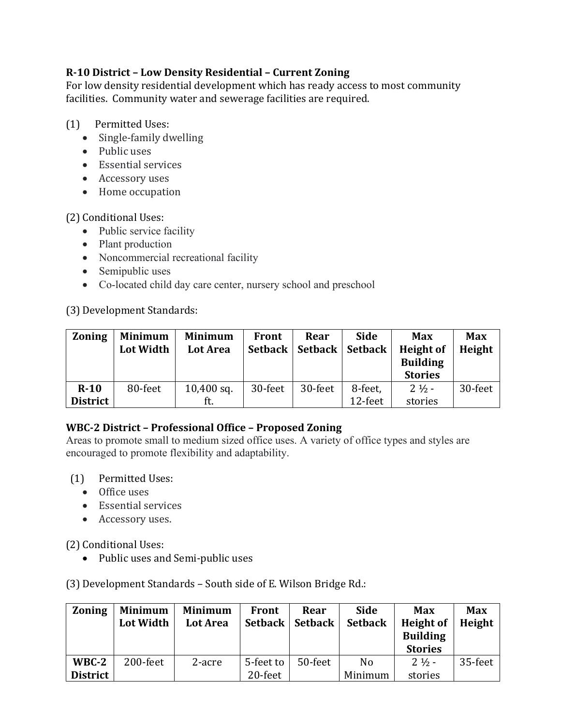# **R-10 District – Low Density Residential – Current Zoning**

For low density residential development which has ready access to most community facilities. Community water and sewerage facilities are required.

## (1) Permitted Uses:

- Single-family dwelling
- Public uses
- Essential services
- Accessory uses
- Home occupation

## (2) Conditional Uses:

- Public service facility
- Plant production
- Noncommercial recreational facility
- Semipublic uses
- Co-located child day care center, nursery school and preschool

(3) Development Standards:

| <b>Zoning</b>   | <b>Minimum</b><br><b>Lot Width</b> | <b>Minimum</b><br>Lot Area | Front   | Rear<br><b>Setback   Setback</b> | <b>Side</b><br><b>Setback</b> | <b>Max</b><br><b>Height of</b><br><b>Building</b><br><b>Stories</b> | <b>Max</b><br>Height |
|-----------------|------------------------------------|----------------------------|---------|----------------------------------|-------------------------------|---------------------------------------------------------------------|----------------------|
| $R-10$          | 80-feet                            | $10,400$ sq.               | 30-feet | 30-feet                          | 8-feet,                       | $2 \frac{1}{2}$ -                                                   | 30-feet              |
| <b>District</b> |                                    | ft.                        |         |                                  | 12-feet                       | stories                                                             |                      |

# **WBC-2 District – Professional Office – Proposed Zoning**

Areas to promote small to medium sized office uses. A variety of office types and styles are encouraged to promote flexibility and adaptability.

- (1) Permitted Uses:
	- Office uses
	- Essential services
	- Accessory uses.

(2) Conditional Uses:

• Public uses and Semi-public uses

(3) Development Standards – South side of E. Wilson Bridge Rd.:

| <b>Zoning</b>              | <b>Minimum</b><br><b>Lot Width</b> | <b>Minimum</b><br><b>Lot Area</b> | <b>Front</b><br><b>Setback</b> | Rear<br>Setback | <b>Side</b><br><b>Setback</b> | <b>Max</b><br>Height of<br><b>Building</b><br><b>Stories</b> | <b>Max</b><br>Height |
|----------------------------|------------------------------------|-----------------------------------|--------------------------------|-----------------|-------------------------------|--------------------------------------------------------------|----------------------|
| $WBC-2$<br><b>District</b> | 200-feet                           | 2-acre                            | 5-feet to<br>20-feet           | 50-feet         | N <sub>o</sub><br>Minimum     | $2 \frac{1}{2}$ -<br>stories                                 | 35-feet              |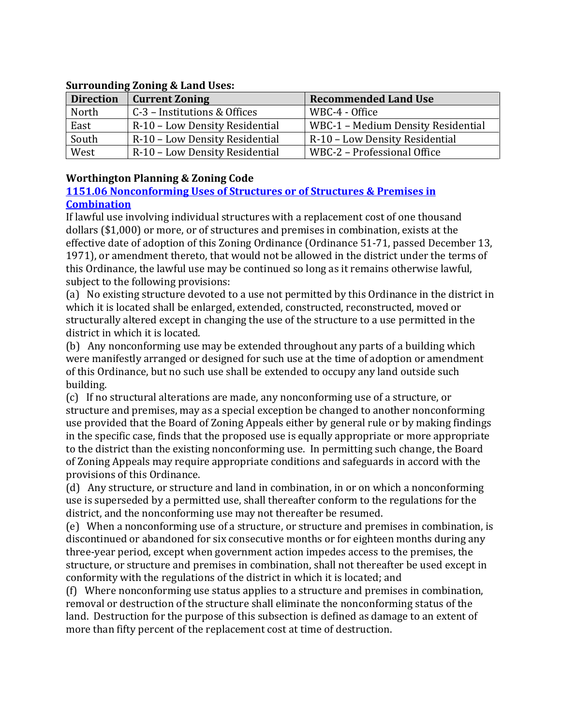| <b>Direction</b> | <b>Current Zoning</b>          | <b>Recommended Land Use</b>        |  |  |
|------------------|--------------------------------|------------------------------------|--|--|
| North            | C-3 – Institutions & Offices   | WBC-4 - Office                     |  |  |
| East             | R-10 - Low Density Residential | WBC-1 - Medium Density Residential |  |  |
| South            | R-10 - Low Density Residential | R-10 - Low Density Residential     |  |  |
| West             | R-10 - Low Density Residential | WBC-2 - Professional Office        |  |  |

#### **Surrounding Zoning & Land Uses:**

## **Worthington Planning & Zoning Code**

## **1151.06 [Nonconforming Uses of Structures or of Structures & Premises in](https://codelibrary.amlegal.com/codes/worthington/latest/worthington_oh/0-0-0-23345#JD_1151)  [Combination](https://codelibrary.amlegal.com/codes/worthington/latest/worthington_oh/0-0-0-23345#JD_1151)**

If lawful use involving individual structures with a replacement cost of one thousand dollars (\$1,000) or more, or of structures and premises in combination, exists at the effective date of adoption of this Zoning Ordinance (Ordinance 51-71, passed December 13, 1971), or amendment thereto, that would not be allowed in the district under the terms of this Ordinance, the lawful use may be continued so long as it remains otherwise lawful, subject to the following provisions:

(a) No existing structure devoted to a use not permitted by this Ordinance in the district in which it is located shall be enlarged, extended, constructed, reconstructed, moved or structurally altered except in changing the use of the structure to a use permitted in the district in which it is located.

(b) Any nonconforming use may be extended throughout any parts of a building which were manifestly arranged or designed for such use at the time of adoption or amendment of this Ordinance, but no such use shall be extended to occupy any land outside such building.

(c) If no structural alterations are made, any nonconforming use of a structure, or structure and premises, may as a special exception be changed to another nonconforming use provided that the Board of Zoning Appeals either by general rule or by making findings in the specific case, finds that the proposed use is equally appropriate or more appropriate to the district than the existing nonconforming use. In permitting such change, the Board of Zoning Appeals may require appropriate conditions and safeguards in accord with the provisions of this Ordinance.

(d) Any structure, or structure and land in combination, in or on which a nonconforming use is superseded by a permitted use, shall thereafter conform to the regulations for the district, and the nonconforming use may not thereafter be resumed.

(e) When a nonconforming use of a structure, or structure and premises in combination, is discontinued or abandoned for six consecutive months or for eighteen months during any three-year period, except when government action impedes access to the premises, the structure, or structure and premises in combination, shall not thereafter be used except in conformity with the regulations of the district in which it is located; and

(f) Where nonconforming use status applies to a structure and premises in combination, removal or destruction of the structure shall eliminate the nonconforming status of the land. Destruction for the purpose of this subsection is defined as damage to an extent of more than fifty percent of the replacement cost at time of destruction.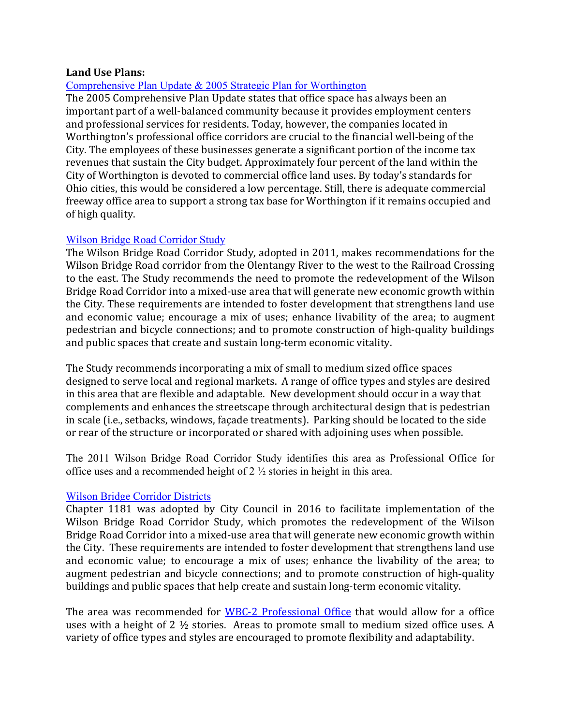#### **Land Use Plans:**

## [Comprehensive Plan Update & 2005 Strategic Plan for Worthington](https://worthington.org/DocumentCenter/View/155/Comprehensive-Plan?bidId=)

The 2005 Comprehensive Plan Update states that office space has always been an important part of a well-balanced community because it provides employment centers and professional services for residents. Today, however, the companies located in Worthington's professional office corridors are crucial to the financial well-being of the City. The employees of these businesses generate a significant portion of the income tax revenues that sustain the City budget. Approximately four percent of the land within the City of Worthington is devoted to commercial office land uses. By today's standards for Ohio cities, this would be considered a low percentage. Still, there is adequate commercial freeway office area to support a strong tax base for Worthington if it remains occupied and of high quality.

#### [Wilson Bridge Road Corridor Study](https://worthington.org/645/2011-Wilson-Bridge-Road-Corridor-Study)

The Wilson Bridge Road Corridor Study, adopted in 2011, makes recommendations for the Wilson Bridge Road corridor from the Olentangy River to the west to the Railroad Crossing to the east. The Study recommends the need to promote the redevelopment of the Wilson Bridge Road Corridor into a mixed-use area that will generate new economic growth within the City. These requirements are intended to foster development that strengthens land use and economic value; encourage a mix of uses; enhance livability of the area; to augment pedestrian and bicycle connections; and to promote construction of high-quality buildings and public spaces that create and sustain long-term economic vitality.

The Study recommends incorporating a mix of small to medium sized office spaces designed to serve local and regional markets. A range of office types and styles are desired in this area that are flexible and adaptable. New development should occur in a way that complements and enhances the streetscape through architectural design that is pedestrian in scale (i.e., setbacks, windows, façade treatments). Parking should be located to the side or rear of the structure or incorporated or shared with adjoining uses when possible.

The 2011 Wilson Bridge Road Corridor Study identifies this area as Professional Office for office uses and a recommended height of 2 ½ stories in height in this area.

## [Wilson Bridge Corridor Districts](http://library2.amlegal.com/nxt/gateway.dll/Ohio/worthington_oh/codifiedordinancesofthecityofworthington?f=templates$fn=default.htm$3.0$vid=amlegal:worthington_oh)

Chapter 1181 was adopted by City Council in 2016 to facilitate implementation of the Wilson Bridge Road Corridor Study, which promotes the redevelopment of the Wilson Bridge Road Corridor into a mixed-use area that will generate new economic growth within the City. These requirements are intended to foster development that strengthens land use and economic value; to encourage a mix of uses; enhance the livability of the area; to augment pedestrian and bicycle connections; and to promote construction of high-quality buildings and public spaces that help create and sustain long-term economic vitality.

The area was recommended for WBC-2 [Professional Office](https://codelibrary.amlegal.com/codes/worthington/latest/worthington_oh/0-0-0-37765#JD_1181.06) that would allow for a office uses with a height of 2 ½ stories. Areas to promote small to medium sized office uses. A variety of office types and styles are encouraged to promote flexibility and adaptability.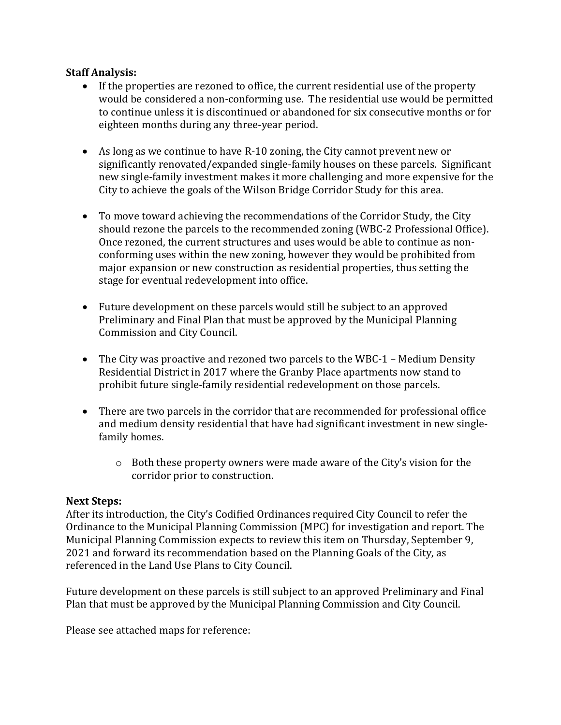## **Staff Analysis:**

- If the properties are rezoned to office, the current residential use of the property would be considered a non-conforming use. The residential use would be permitted to continue unless it is discontinued or abandoned for six consecutive months or for eighteen months during any three-year period.
- As long as we continue to have R-10 zoning, the City cannot prevent new or significantly renovated/expanded single-family houses on these parcels. Significant new single-family investment makes it more challenging and more expensive for the City to achieve the goals of the Wilson Bridge Corridor Study for this area.
- To move toward achieving the recommendations of the Corridor Study, the City should rezone the parcels to the recommended zoning (WBC-2 Professional Office). Once rezoned, the current structures and uses would be able to continue as nonconforming uses within the new zoning, however they would be prohibited from major expansion or new construction as residential properties, thus setting the stage for eventual redevelopment into office.
- Future development on these parcels would still be subject to an approved Preliminary and Final Plan that must be approved by the Municipal Planning Commission and City Council.
- The City was proactive and rezoned two parcels to the WBC-1 Medium Density Residential District in 2017 where the Granby Place apartments now stand to prohibit future single-family residential redevelopment on those parcels.
- There are two parcels in the corridor that are recommended for professional office and medium density residential that have had significant investment in new singlefamily homes.
	- o Both these property owners were made aware of the City's vision for the corridor prior to construction.

#### **Next Steps:**

After its introduction, the City's Codified Ordinances required City Council to refer the Ordinance to the Municipal Planning Commission (MPC) for investigation and report. The Municipal Planning Commission expects to review this item on Thursday, September 9, 2021 and forward its recommendation based on the Planning Goals of the City, as referenced in the Land Use Plans to City Council.

Future development on these parcels is still subject to an approved Preliminary and Final Plan that must be approved by the Municipal Planning Commission and City Council.

Please see attached maps for reference: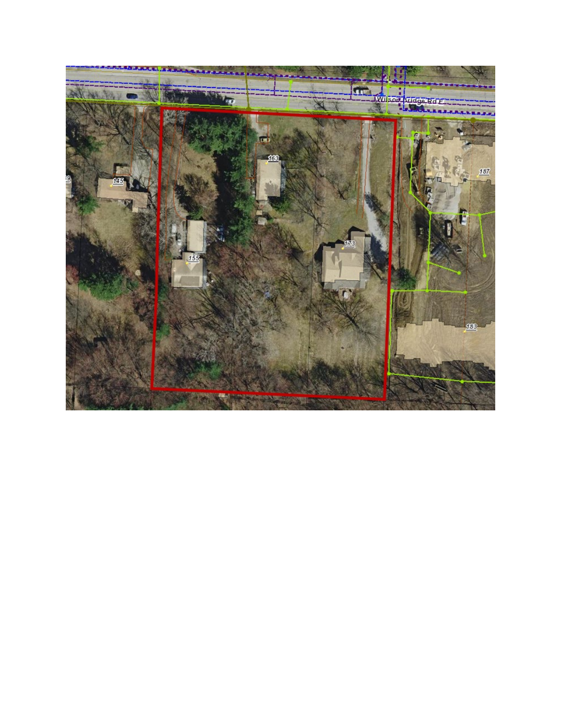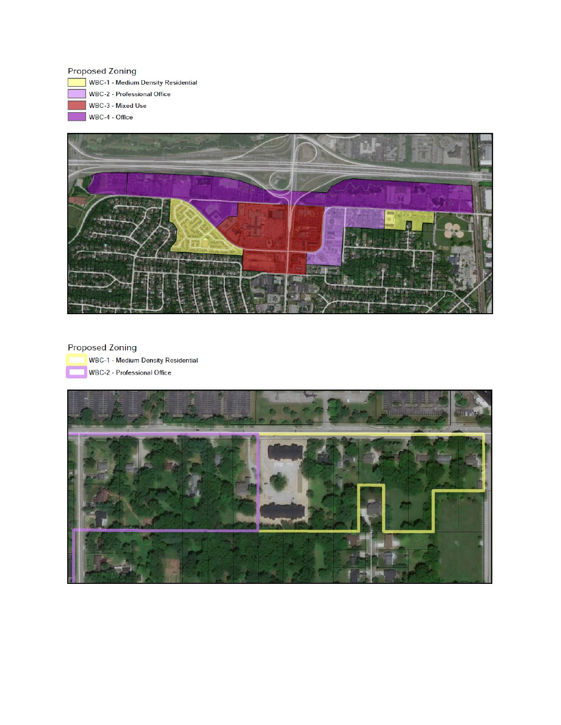#### **Proposed Zoning**

WBC-1 - Medium Density Residential WBC-2 - Professional Office WBC-3 - Mixed Use WBC-4 - Office



#### **Proposed Zoning**

WBC-1 - Medium Density Residential WBC-2 - Professional Office